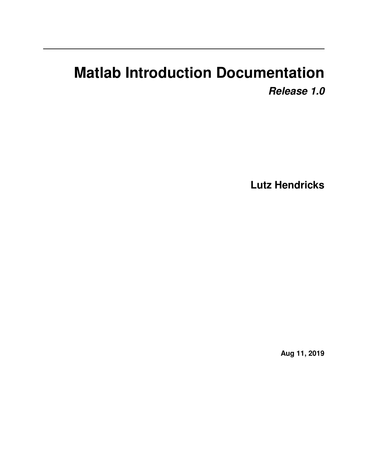# <span id="page-0-0"></span>**Matlab Introduction Documentation** *Release 1.0*

**Lutz Hendricks**

**Aug 11, 2019**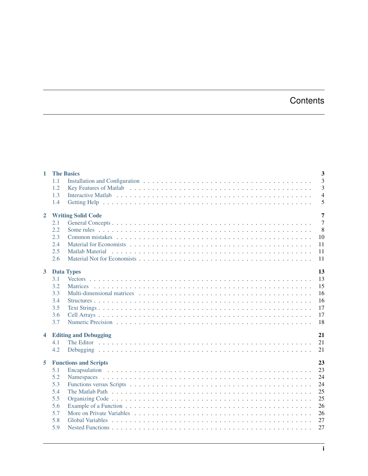# **Contents**

| $\mathbf{1}$   | 3<br><b>The Basics</b>             |                           |                |  |  |  |
|----------------|------------------------------------|---------------------------|----------------|--|--|--|
|                | 1.1                                |                           | 3              |  |  |  |
|                | 1.2                                |                           | 3              |  |  |  |
|                | 1.3                                |                           | $\overline{4}$ |  |  |  |
|                | 1.4                                |                           | 5              |  |  |  |
| $\overline{2}$ |                                    | <b>Writing Solid Code</b> | 7              |  |  |  |
|                | 2.1                                |                           | $\overline{7}$ |  |  |  |
|                | 2.2                                |                           | 8              |  |  |  |
|                | 2.3                                |                           | 10             |  |  |  |
|                | 2.4                                |                           | 11             |  |  |  |
|                | 2.5                                |                           | 11             |  |  |  |
|                | 2.6                                |                           | 11             |  |  |  |
| $\mathbf{3}$   |                                    | <b>Data Types</b>         | 13             |  |  |  |
|                | 3.1                                |                           | 13             |  |  |  |
|                | 3.2                                |                           | 15             |  |  |  |
|                | 3.3                                |                           | 16             |  |  |  |
|                | 3.4                                |                           | 16             |  |  |  |
|                | 3.5                                |                           | 17             |  |  |  |
|                | 3.6                                |                           | 17             |  |  |  |
|                | 3.7                                |                           | 18             |  |  |  |
| 4              | 21<br><b>Editing and Debugging</b> |                           |                |  |  |  |
|                | 4.1                                |                           | 21             |  |  |  |
|                | 4.2                                |                           | 21             |  |  |  |
| 5              | 23<br><b>Functions and Scripts</b> |                           |                |  |  |  |
|                | 5.1                                |                           | 23             |  |  |  |
|                | 5.2                                |                           | 24             |  |  |  |
|                | 5.3                                |                           | 24             |  |  |  |
|                | 5.4                                |                           | 25             |  |  |  |
|                | 5.5                                |                           | 25             |  |  |  |
|                | 5.6                                |                           | 26             |  |  |  |
|                | 5.7                                |                           | 26             |  |  |  |
|                | 5.8                                |                           | 27             |  |  |  |
|                | 5.9                                |                           | 27             |  |  |  |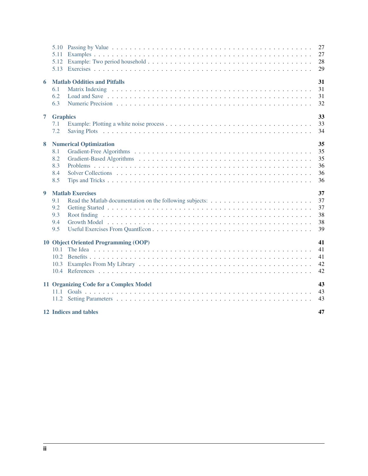|                  | 5.11<br>5.12<br>5.13                                             | 27<br>27<br>28<br>29             |
|------------------|------------------------------------------------------------------|----------------------------------|
| 6                | <b>Matlab Oddities and Pitfalls</b><br>6.1<br>6.2<br>6.3         | 31<br>31<br>31<br>32             |
| $\overline{7}$   | <b>Graphics</b><br>7.1<br>7.2                                    | 33<br>33<br>34                   |
| 8                | <b>Numerical Optimization</b><br>8.1<br>8.2<br>8.3<br>8.4<br>8.5 | 35<br>35<br>35<br>36<br>36<br>36 |
| $\boldsymbol{9}$ | <b>Matlab Exercises</b><br>9.1<br>9.2<br>9.3<br>9.4<br>9.5       | 37<br>37<br>37<br>38<br>38<br>39 |
|                  | 10 Object Oriented Programming (OOP)<br>10.1                     | 41<br>41<br>41<br>42<br>42       |
|                  | 11 Organizing Code for a Complex Model                           | 43<br>43<br>43                   |
|                  | 12 Indices and tables                                            | 47                               |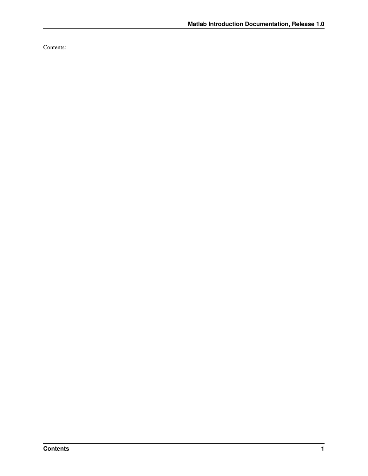Contents: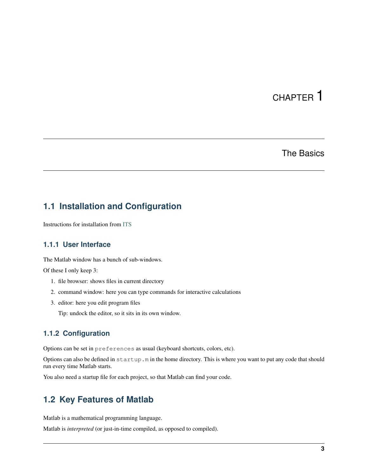### The Basics

### <span id="page-6-1"></span><span id="page-6-0"></span>**1.1 Installation and Configuration**

Instructions for installation from [ITS](http://software.sites.unc.edu/software/)

### **1.1.1 User Interface**

The Matlab window has a bunch of sub-windows.

Of these I only keep 3:

- 1. file browser: shows files in current directory
- 2. command window: here you can type commands for interactive calculations
- 3. editor: here you edit program files

Tip: undock the editor, so it sits in its own window.

### **1.1.2 Configuration**

Options can be set in preferences as usual (keyboard shortcuts, colors, etc).

Options can also be defined in startup.m in the home directory. This is where you want to put any code that should run every time Matlab starts.

You also need a startup file for each project, so that Matlab can find your code.

### <span id="page-6-2"></span>**1.2 Key Features of Matlab**

Matlab is a mathematical programming language.

Matlab is *interpreted* (or just-in-time compiled, as opposed to compiled).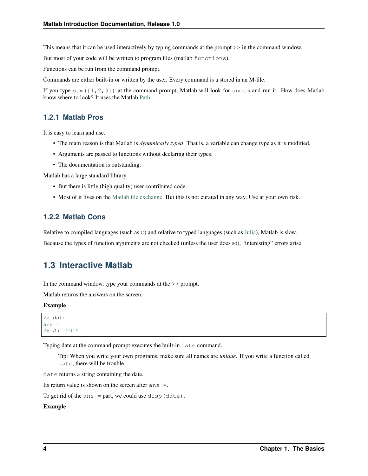This means that it can be used interactively by typing commands at the prompt >> in the command window.

But most of your code will be written to program files (matlab functions).

Functions can be run from the command prompt.

Commands are either built-in or written by the user. Every command is a stored in an M-file.

If you type sum ( $[1,2,3]$ ) at the command prompt, Matlab will look for sum.m and run it. How does Matlab know where to look? It uses the Matlab [Path](matlab_functions.html#Mpath)

### **1.2.1 Matlab Pros**

It is easy to learn and use.

- The main reason is that Matlab is *dynamically typed*. That is, a variable can change type as it is modified.
- Arguments are passed to functions without declaring their types.
- The documentation is outstanding.

Matlab has a large standard library.

- But there is little (high quality) user contributed code.
- Most of it lives on the [Matlab file exchange.](http://www.mathworks.com/matlabcentral/fileexchange/) But this is not curated in any way. Use at your own risk.

#### **1.2.2 Matlab Cons**

Relative to compiled languages (such as C) and relative to typed languages (such as [Julia\)](www.julialang.org), Matlab is slow.

Because the types of function arguments are not checked (unless the user does so), "interesting" errors arise.

### <span id="page-7-0"></span>**1.3 Interactive Matlab**

In the command window, type your commands at the >> prompt.

Matlab returns the answers on the screen.

#### Example

```
>> date
ans =26-Jul-2015
```
Typing date at the command prompt executes the built-in date command.

Tip: When you write your own programs, make sure all names are *unique*. If you write a function called date, there will be trouble.

date returns a string containing the date.

Its return value is shown on the screen after  $ans =$ .

To get rid of the ans = part, we could use disp(date).

#### Example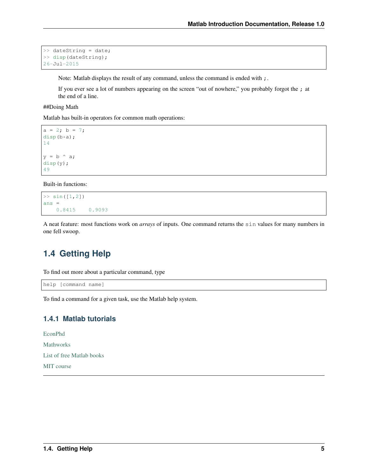```
>> dateString = date;
>> disp(dateString);
26-Jul-2015
```
Note: Matlab displays the result of any command, unless the command is ended with ;.

If you ever see a lot of numbers appearing on the screen "out of nowhere," you probably forgot the ; at the end of a line.

##Doing Math

Matlab has built-in operators for common math operations:

```
a = 2; b = 7;disp(b*a);14
y = b ^ a;
disp(y);
49
```
Built-in functions:

```
\gg sin([1,2])
ans =0.8415 0.9093
```
A neat feature: most functions work on *arrays* of inputs. One command returns the sin values for many numbers in one fell swoop.

## <span id="page-8-0"></span>**1.4 Getting Help**

To find out more about a particular command, type

help [command name]

To find a command for a given task, use the Matlab help system.

### **1.4.1 Matlab tutorials**

[EconPhd](http://econphd.econwiki.com/notes.htm) **[Mathworks](http://www.mathworks.com/academia/student_center/tutorials/launchpad.html?s_cid=global_nav)** [List of free Matlab books](https://github.com/vhf/free-programming-books/blob/master/free-programming-books.md#matlab) [MIT course](http://ocw.mit.edu/courses/electrical-engineering-and-computer-science/6-094-introduction-to-matlab-january-iap-2010/index.htm)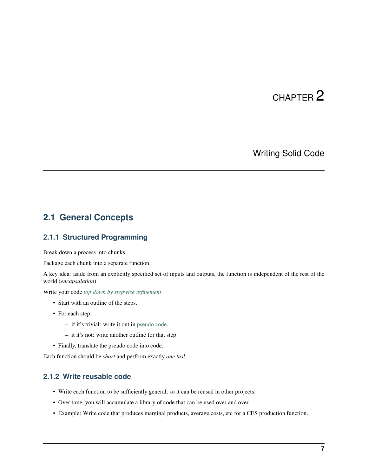## Writing Solid Code

### <span id="page-10-1"></span><span id="page-10-0"></span>**2.1 General Concepts**

### **2.1.1 Structured Programming**

Break down a process into chunks.

Package each chunk into a separate function.

A key idea: aside from an explicitly specified set of inputs and outputs, the function is independent of the rest of the world (*encapsulation*).

Write your code *[top down by stepwise refinement](http://www.eecs.wsu.edu/%7Ecs150/tdd.htm)*

- Start with an outline of the steps.
- For each step:
	- if it's trivial: write it out in [pseudo code.](https://en.wikipedia.org/wiki/Pseudocode)
	- it it's not: write another outline for that step
- Finally, translate the pseudo code into code.

Each function should be *short* and perform exactly *one task*.

### **2.1.2 Write reusable code**

- Write each function to be sufficiently general, so it can be reused in other projects.
- Over time, you will accumulate a library of code that can be used over and over.
- Example: Write code that produces marginal products, average costs, etc for a CES production function.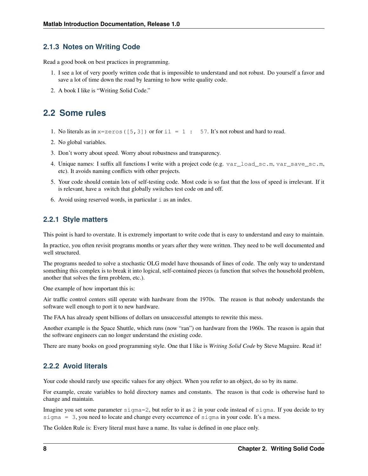### **2.1.3 Notes on Writing Code**

Read a good book on best practices in programming.

- 1. I see a lot of very poorly written code that is impossible to understand and not robust. Do yourself a favor and save a lot of time down the road by learning to how write quality code.
- 2. A book I like is "Writing Solid Code."

### <span id="page-11-0"></span>**2.2 Some rules**

- 1. No literals as in  $x = z \in \infty$  ([5,3]) or for i1 = 1 : 57. It's not robust and hard to read.
- 2. No global variables.
- 3. Don't worry about speed. Worry about robustness and transparency.
- 4. Unique names: I suffix all functions I write with a project code (e.g. var\_load\_sc.m, var\_save\_sc.m, etc). It avoids naming conflicts with other projects.
- 5. Your code should contain lots of self-testing code. Most code is so fast that the loss of speed is irrelevant. If it is relevant, have a switch that globally switches test code on and off.
- 6. Avoid using reserved words, in particular i as an index.

### **2.2.1 Style matters**

This point is hard to overstate. It is extremely important to write code that is easy to understand and easy to maintain.

In practice, you often revisit programs months or years after they were written. They need to be well documented and well structured.

The programs needed to solve a stochastic OLG model have thousands of lines of code. The only way to understand something this complex is to break it into logical, self-contained pieces (a function that solves the household problem, another that solves the firm problem, etc.).

One example of how important this is:

Air traffic control centers still operate with hardware from the 1970s. The reason is that nobody understands the software well enough to port it to new hardware.

The FAA has already spent billions of dollars on unsuccessful attempts to rewrite this mess.

Another example is the Space Shuttle, which runs (now "ran") on hardware from the 1960s. The reason is again that the software engineers can no longer understand the existing code.

There are many books on good programming style. One that I like is *Writing Solid Code* by Steve Maguire. Read it!

### **2.2.2 Avoid literals**

Your code should rarely use specific values for any object. When you refer to an object, do so by its name.

For example, create variables to hold directory names and constants. The reason is that code is otherwise hard to change and maintain.

Imagine you set some parameter sigma=2, but refer to it as 2 in your code instead of sigma. If you decide to try sigma = 3, you need to locate and change every occurrence of sigma in your code. It's a mess.

The Golden Rule is: Every literal must have a name. Its value is defined in one place only.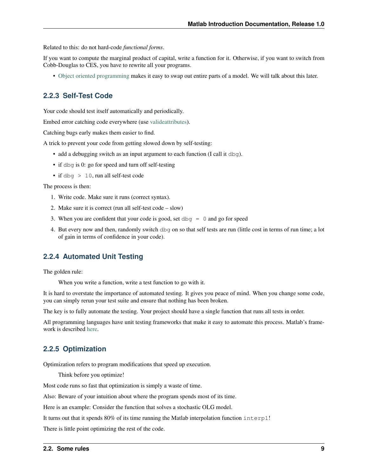Related to this: do not hard-code *functional forms*.

If you want to compute the marginal product of capital, write a function for it. Otherwise, if you want to switch from Cobb-Douglas to CES, you have to rewrite all your programs.

• [Object oriented programming](https://en.wikipedia.org/wiki/Object-oriented_programming) makes it easy to swap out entire parts of a model. We will talk about this later.

### **2.2.3 Self-Test Code**

Your code should test itself automatically and periodically.

Embed error catching code everywhere (use [valideattributes\)](http://www.mathworks.com/help/matlab/ref/validateattributes.html).

Catching bugs early makes them easier to find.

A trick to prevent your code from getting slowed down by self-testing:

- add a debugging switch as an input argument to each function (I call it dbq).
- if dbg is 0: go for speed and turn off self-testing
- if dbg > 10, run all self-test code

The process is then:

- 1. Write code. Make sure it runs (correct syntax).
- 2. Make sure it is correct (run all self-test code slow)
- 3. When you are confident that your code is good, set  $dbq = 0$  and go for speed
- 4. But every now and then, randomly switch dbg on so that self tests are run (little cost in terms of run time; a lot of gain in terms of confidence in your code).

#### **2.2.4 Automated Unit Testing**

The golden rule:

When you write a function, write a test function to go with it.

It is hard to overstate the importance of automated testing. It gives you peace of mind. When you change some code, you can simply rerun your test suite and ensure that nothing has been broken.

The key is to fully automate the testing. Your project should have a single function that runs all tests in order.

All programming languages have unit testing frameworks that make it easy to automate this process. Matlab's framework is described [here.](https://www.mathworks.com/help/matlab/matlab-unit-test-framework.html)

#### **2.2.5 Optimization**

Optimization refers to program modifications that speed up execution.

Think before you optimize!

Most code runs so fast that optimization is simply a waste of time.

Also: Beware of your intuition about where the program spends most of its time.

Here is an example: Consider the function that solves a stochastic OLG model.

It turns out that it spends 80% of its time running the Matlab interpolation function interp1!

There is little point optimizing the rest of the code.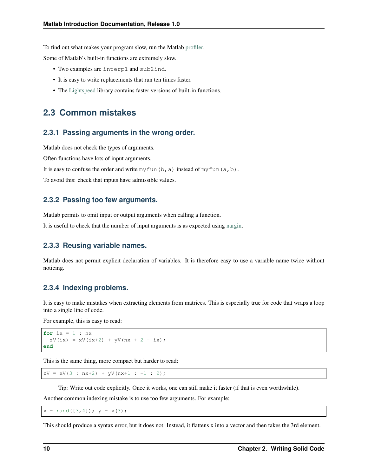To find out what makes your program slow, run the Matlab [profiler.](http://www.mathworks.com/help/matlab/ref/profile.html)

Some of Matlab's built-in functions are extremely slow.

- Two examples are interp1 and sub2ind.
- It is easy to write replacements that run ten times faster.
- The [Lightspeed](http://research.microsoft.com/en-us/um/people/minka/software/lightspeed/) library contains faster versions of built-in functions.

### <span id="page-13-0"></span>**2.3 Common mistakes**

#### **2.3.1 Passing arguments in the wrong order.**

Matlab does not check the types of arguments.

Often functions have lots of input arguments.

It is easy to confuse the order and write my fun (b, a) instead of my fun (a, b).

To avoid this: check that inputs have admissible values.

#### **2.3.2 Passing too few arguments.**

Matlab permits to omit input or output arguments when calling a function.

It is useful to check that the number of input arguments is as expected using [nargin.](http://www.mathworks.com/help/matlab/ref/nargin.html)

#### **2.3.3 Reusing variable names.**

Matlab does not permit explicit declaration of variables. It is therefore easy to use a variable name twice without noticing.

#### **2.3.4 Indexing problems.**

It is easy to make mistakes when extracting elements from matrices. This is especially true for code that wraps a loop into a single line of code.

For example, this is easy to read:

```
for ix = 1 : nxzV(ix) = xV(ix+2) + yV(nx + 2 - ix);end
```
This is the same thing, more compact but harder to read:

 $zV = xV(3 : nx+2) + yV(nx+1 : -1 : 2);$ 

Tip: Write out code explicitly. Once it works, one can still make it faster (if that is even worthwhile).

Another common indexing mistake is to use too few arguments. For example:

 $x = \text{rand}([3, 4])$ ;  $y = x(3)$ ;

This should produce a syntax error, but it does not. Instead, it flattens x into a vector and then takes the 3rd element.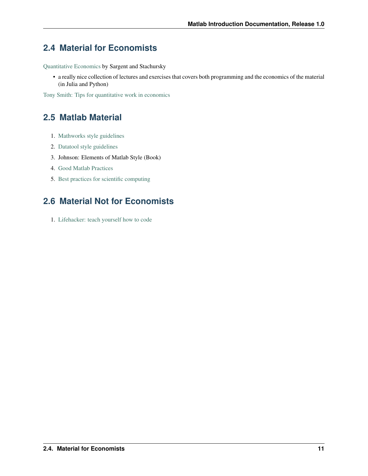# <span id="page-14-0"></span>**2.4 Material for Economists**

[Quantitative Economics](http://quant-econ.net/index.html) by Sargent and Stachursky

• a really nice collection of lectures and exercises that covers both programming and the economics of the material (in Julia and Python)

[Tony Smith: Tips for quantitative work in economics](http://aida.wss.yale.edu/smith/econ561a/compute6.pdf)

# <span id="page-14-1"></span>**2.5 Matlab Material**

- 1. [Mathworks style guidelines](http://www.mathworks.com/matlabcentral/linkexchange/links/1100-matlab-programming-style-guidelines)
- 2. [Datatool style guidelines](http://www.datatool.com/downloads/matlab_style_guidelines.pdf)
- 3. Johnson: Elements of Matlab Style (Book)
- 4. [Good Matlab Practices](http://www.mathworks.com/matlabcentral/fileexchange/2371)
- 5. [Best practices for scientific computing](http://www.plosbiology.org/article/info%3Adoi%2F10.1371%2Fjournal.pbio.1001745#s2)

# <span id="page-14-2"></span>**2.6 Material Not for Economists**

1. [Lifehacker: teach yourself how to code](http://lifehacker.com/top-10-ways-to-teach-yourself-to-code-1684250889)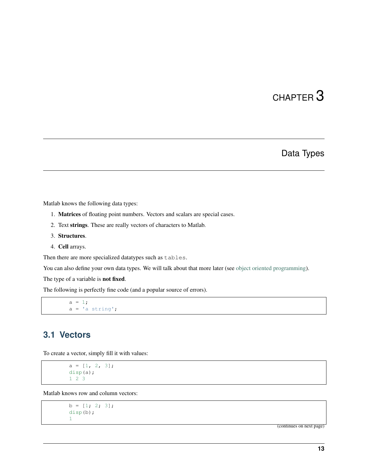Data Types

<span id="page-16-0"></span>Matlab knows the following data types:

- 1. Matrices of floating point numbers. Vectors and scalars are special cases.
- 2. Text strings. These are really vectors of characters to Matlab.
- 3. Structures.
- 4. Cell arrays.

Then there are more specialized datatypes such as tables.

You can also define your own data types. We will talk about that more later (see [object oriented programming\)](oop.html).

The type of a variable is not fixed.

The following is perfectly fine code (and a popular source of errors).

 $a = 1;$  $a = 'a string';$ 

## <span id="page-16-1"></span>**3.1 Vectors**

To create a vector, simply fill it with values:

```
a = [1, 2, 3];disp(a);
1 2 3
```
Matlab knows row and column vectors:

```
b = [1; 2; 3];disp(b);
1
```
(continues on next page)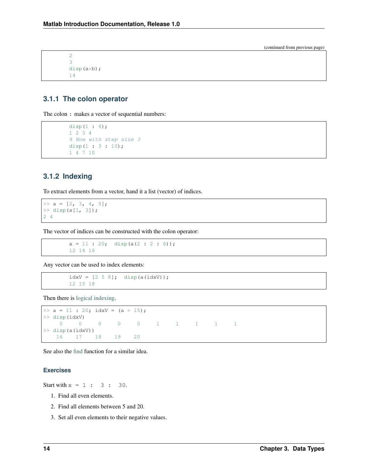(continued from previous page)

```
2
3
disp(a*b);
14
```
### **3.1.1 The colon operator**

The colon : makes a vector of sequential numbers:

```
disp(1 : 4);
1 2 3 4
% Now with step size 3
disp(1 : 3 : 10);
1 4 7 10
```
### **3.1.2 Indexing**

To extract elements from a vector, hand it a list (vector) of indices.

```
\Rightarrow a = [2, 3, 4, 5];
>> disp(a[1, 3]);
2 4
```
The vector of indices can be constructed with the colon operator:

 $a = 11 : 20;$  disp( $a(2 : 2 : 6)$ ); 12 14 16

Any vector can be used to index elements:

```
idxV = [2 5 8]; disp(a(idxV));12 15 18
```
Then there is [logical indexing.](http://blogs.mathworks.com/steve/2008/01/28/logical-indexing/)

```
\Rightarrow a = 11 : 20; idxV = (a > 15);
>> disp(idxV)
   0 0 0 0 0 1 1 1 1 1
>> disp(a(idxV))
  16 17 18 19 20
```
See also the [find](http://www.mathworks.com/help/matlab/ref/find.html) function for a similar idea.

#### **Exercises**

Start with  $x = 1$  : 3 : 30.

- 1. Find all even elements.
- 2. Find all elements between 5 and 20.
- 3. Set all even elements to their negative values.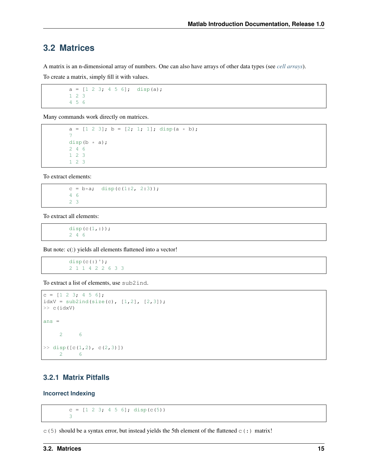## <span id="page-18-0"></span>**3.2 Matrices**

A matrix is an n-dimensional array of numbers. One can also have arrays of other data types (see *[cell arrays](#page-20-1)*).

To create a matrix, simply fill it with values.

```
a = [1 2 3; 4 5 6]; \text{ disp}(a);1 2 3
4 5 6
```
Many commands work directly on matrices.

```
a = [1 2 3]; b = [2; 1; 1]; disp(a * b);7
disp(b * a);2 4 6
1 2 3
1 2 3
```
To extract elements:

```
c = b * a; disp(c(1:2, 2:3));
4 6
2 3
```
To extract all elements:

```
disp(c(1,:));2 4 6
```
But note: c(:) yields all elements flattened into a vector!

```
disp(c(:)');
2 1 1 4 2 2 6 3 3
```
To extract a list of elements, use sub2ind.

```
c = [1 2 3; 4 5 6];idxV = sub2ind(size(c), [1,2], [2,3]);
>> c(idxV)
ans =2 6
\gg disp([c(1,2), c(2,3)])
    2 6
```
### **3.2.1 Matrix Pitfalls**

**Incorrect Indexing**

 $c = [1 2 3; 4 5 6]; disp(c(5))$ 3

 $c(5)$  should be a syntax error, but instead yields the 5th element of the flattened  $c():$  matrix!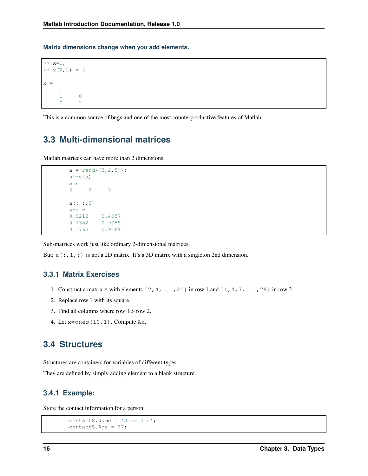**Matrix dimensions change when you add elements.**

```
>> x=1;
>> x(2, 2) = 2x =1 0
    0 2
```
This is a common source of bugs and one of the most counterproductive features of Matlab.

## <span id="page-19-0"></span>**3.3 Multi-dimensional matrices**

Matlab matrices can have more than 2 dimensions.

```
a = \text{rand}([3, 2, 5]);
size(a)
ans =
3 2 5
a(:,:,3)ans =0.9218 0.4057
0.7382 0.9355
0.1763 0.9169
```
Sub-matrices work just like ordinary 2-dimensional matrices.

But:  $a(:,1,:)$  is not a 2D matrix. It's a 3D matrix with a singleton 2nd dimension.

### **3.3.1 Matrix Exercises**

- 1. Construct a matrix A with elements  $[2,4,\ldots,20]$  in row 1 and  $[1,4,7,\ldots,28]$  in row 2.
- 2. Replace row 1 with its square.
- 3. Find all columns where row  $1 > row 2$ .
- 4. Let x=ones(10,1). Compute Ax.

### <span id="page-19-1"></span>**3.4 Structures**

Structures are containers for variables of different types.

They are defined by simply adding element to a blank structure.

### **3.4.1 Example:**

Store the contact information for a person.

```
contactS.Name = 'John Doe';
contactS.Age = 37;
```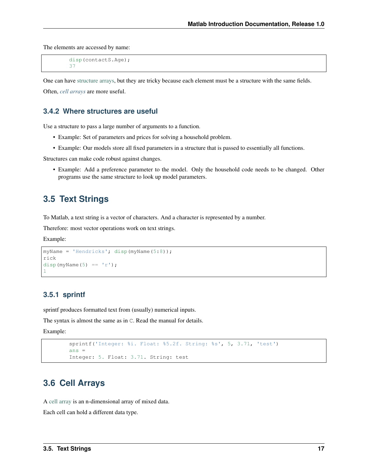The elements are accessed by name:

```
disp(contactS.Age);
37
```
One can have [structure arrays,](http://www.mathworks.com/help/matlab/ref/struct.html) but they are tricky because each element must be a structure with the same fields.

Often, *[cell arrays](#page-20-1)* are more useful.

#### **3.4.2 Where structures are useful**

Use a structure to pass a large number of arguments to a function.

- Example: Set of parameters and prices for solving a household problem.
- Example: Our models store all fixed parameters in a structure that is passed to essentially all functions.

Structures can make code robust against changes.

• Example: Add a preference parameter to the model. Only the household code needs to be changed. Other programs use the same structure to look up model parameters.

### <span id="page-20-0"></span>**3.5 Text Strings**

To Matlab, a text string is a vector of characters. And a character is represented by a number.

Therefore: most vector operations work on text strings.

Example:

```
myName = 'Hendricks'; disp(myName(5:8));
rick
disp(myName(5) == 'r;
1
```
### **3.5.1 sprintf**

sprintf produces formatted text from (usually) numerical inputs.

The syntax is almost the same as in C. Read the manual for details.

Example:

```
sprintf('Integer: %i. Float: %5.2f. String: %s', 5, 3.71, 'test')
ans =Integer: 5. Float: 3.71. String: test
```
### <span id="page-20-1"></span>**3.6 Cell Arrays**

A [cell array](http://www.mathworks.com/help/matlab/cell-arrays.html) is an n-dimensional array of mixed data.

Each cell can hold a different data type.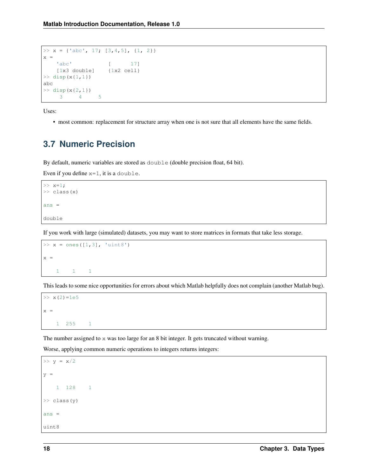```
\Rightarrow x = {'abc', 17; [3,4,5], {1, 2}}
x ='abc' [ 17]
   [1x3 double] {1x2 cell}
\gg disp(x{1,1})
abc
>> disp(x\{2,1\})
    3 4 5
```
Uses:

• most common: replacement for structure array when one is not sure that all elements have the same fields.

## <span id="page-21-0"></span>**3.7 Numeric Precision**

By default, numeric variables are stored as double (double precision float, 64 bit).

Even if you define  $x=1$ , it is a double.

```
>> x=1;
>> class(x)
ans =
double
```
If you work with large (simulated) datasets, you may want to store matrices in formats that take less storage.

```
>> x = ones([1,3], 'uint8')x =\begin{array}{cccc} 1 & \hspace{.1cm} 1 & \hspace{.1cm} 1 \end{array}
```
This leads to some nice opportunities for errors about which Matlab helpfully does not complain (another Matlab bug).

 $>> x(2) = 1e5$  $x =$ 1 255 1

The number assigned to  $\times$  was too large for an 8 bit integer. It gets truncated without warning.

Worse, applying common numeric operations to integers returns integers:

```
>> y = x/2y =1 128 1
\gg class(y)
ans =uint8
```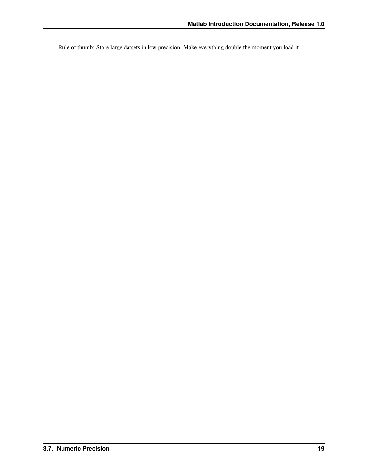Rule of thumb: Store large datsets in low precision. Make everything double the moment you load it.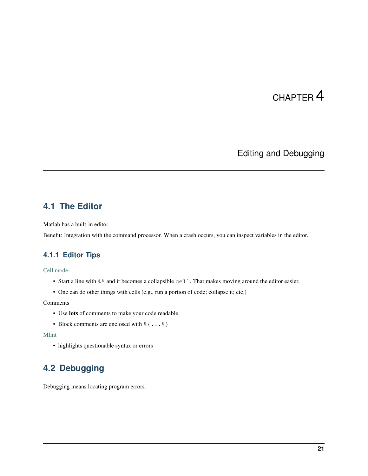# Editing and Debugging

### <span id="page-24-1"></span><span id="page-24-0"></span>**4.1 The Editor**

Matlab has a built-in editor.

Benefit: Integration with the command processor. When a crash occurs, you can inspect variables in the editor.

### **4.1.1 Editor Tips**

[Cell mode](http://www.mathworks.com/help/matlab/matlab_prog/run-sections-of-programs.html)

- Start a line with %% and it becomes a collapsible cell. That makes moving around the editor easier.
- One can do other things with cells (e.g., run a portion of code; collapse it; etc.)

#### Comments

- Use lots of comments to make your code readable.
- Block comments are enclosed with  $\S \$ ...  $\S$

#### [Mlint](http://www.mathworks.com/help/matlab/matlab_prog/check-code-for-errors-and-warnings.html)

• highlights questionable syntax or errors

# <span id="page-24-2"></span>**4.2 Debugging**

Debugging means locating program errors.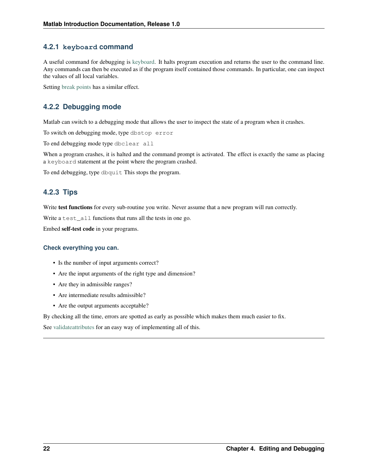### **4.2.1 keyboard command**

A useful command for debugging is [keyboard.](www.mathworks.com/help/matlab/ref/keyboard.html) It halts program execution and returns the user to the command line. Any commands can then be executed as if the program itself contained those commands. In particular, one can inspect the values of all local variables.

Setting [break points](http://www.mathworks.com/help/matlab/matlab_prog/debugging-process-and-features.html) has a similar effect.

### **4.2.2 Debugging mode**

Matlab can switch to a debugging mode that allows the user to inspect the state of a program when it crashes.

To switch on debugging mode, type dbstop error

To end debugging mode type dbclear all

When a program crashes, it is halted and the command prompt is activated. The effect is exactly the same as placing a keyboard statement at the point where the program crashed.

To end debugging, type dbquit This stops the program.

### **4.2.3 Tips**

Write test functions for every sub-routine you write. Never assume that a new program will run correctly.

Write a test\_all functions that runs all the tests in one go.

Embed self-test code in your programs.

#### **Check everything you can.**

- Is the number of input arguments correct?
- Are the input arguments of the right type and dimension?
- Are they in admissible ranges?
- Are intermediate results admissible?
- Are the output arguments acceptable?

By checking all the time, errors are spotted as early as possible which makes them much easier to fix.

See [validateattributes](www.mathworks.com/help/matlab/ref/validateattributes.html) for an easy way of implementing all of this.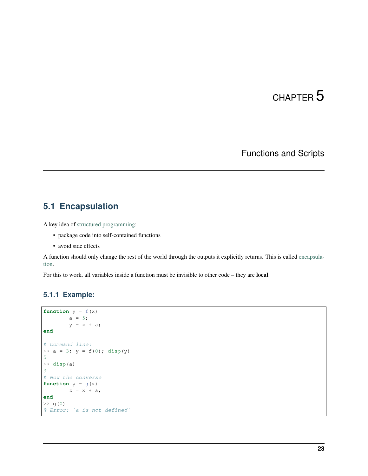# Functions and Scripts

## <span id="page-26-1"></span><span id="page-26-0"></span>**5.1 Encapsulation**

A key idea of [structured programming:](programming.html#structured-programming)

- package code into self-contained functions
- avoid side effects

A function should only change the rest of the world through the outputs it explicitly returns. This is called [encapsula](https://en.wikipedia.org/wiki/Encapsulation_(computer_programming)[tion.](https://en.wikipedia.org/wiki/Encapsulation_(computer_programming)

For this to work, all variables inside a function must be invisible to other code – they are local.

### **5.1.1 Example:**

```
function y = f(x)a = 5;y = x + a;end
% Command line:
>> a = 3; y = f(0); disp(y)
5
>> disp(a)
3
% Now the converse
function y = g(x)z = x + a;end
>> g(0)
% Error: `a is not defined`
```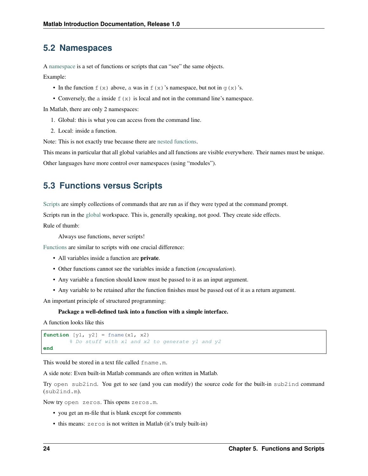### <span id="page-27-0"></span>**5.2 Namespaces**

A [namespace](https://en.wikipedia.org/wiki/Namespace) is a set of functions or scripts that can "see" the same objects.

Example:

- In the function  $f(x)$  above, a was in  $f(x)$ 's namespace, but not in g(x)'s.
- Conversely, the a inside  $f(x)$  is local and not in the command line's namespace.

In Matlab, there are only 2 namespaces:

- 1. Global: this is what you can access from the command line.
- 2. Local: inside a function.

Note: This is not exactly true because there are [nested functions.](http://www.mathworks.com/help/matlab/matlab_prog/nested-functions.html?s_tid=gn_loc_drop)

This means in particular that all global variables and all functions are visible everywhere. Their names must be unique.

Other languages have more control over namespaces (using "modules").

### <span id="page-27-1"></span>**5.3 Functions versus Scripts**

[Scripts](http://www.mathworks.com/help/matlab/matlab_prog/create-scripts.html) are simply collections of commands that are run as if they were typed at the command prompt.

Scripts run in the [global](http://www.mathworks.com/help/matlab/ref/global.html) workspace. This is, generally speaking, not good. They create side effects. Rule of thumb:

Always use functions, never scripts!

[Functions](http://www.mathworks.com/help/matlab/ref/function.html) are similar to scripts with one crucial difference:

- All variables inside a function are private.
- Other functions cannot see the variables inside a function (*encapsulation*).
- Any variable a function should know must be passed to it as an input argument.
- Any variable to be retained after the function finishes must be passed out of it as a return argument.

An important principle of structured programming:

#### Package a well-defined task into a function with a simple interface.

A function looks like this

```
function [y1, y2] = \text{frame}(x1, x2)% Do stuff with x1 and x2 to generate y1 and y2
end
```
This would be stored in a text file called fname.m.

A side note: Even built-in Matlab commands are often written in Matlab.

Try open sub2ind. You get to see (and you can modify) the source code for the built-in sub2ind command (sub2ind.m).

Now try open zeros. This opens zeros.m.

- you get an m-file that is blank except for comments
- this means: zeros is not written in Matlab (it's truly built-in)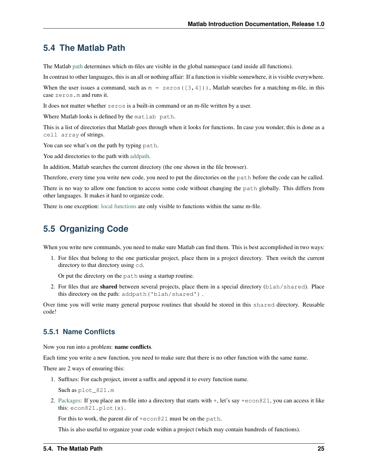### <span id="page-28-0"></span>**5.4 The Matlab Path**

The Matlab [path](www.mathworks.com/help/matlab/ref/path.html) determines which m-files are visible in the global namespace (and inside all functions).

In contrast to other languages, this is an all or nothing affair: If a function is visible somewhere, it is visible everywhere.

When the user issues a command, such as  $m =$  zeros ([3,4])), Matlab searches for a matching m-file, in this case zeros.m and runs it.

It does not matter whether zeros is a built-in command or an m-file written by a user.

Where Matlab looks is defined by the matlab path.

This is a list of directories that Matlab goes through when it looks for functions. In case you wonder, this is done as a cell array of strings.

You can see what's on the path by typing path.

You add directories to the path with [addpath.](http://www.mathworks.com/help/matlab/ref/addpath.html)

In addition, Matlab searches the current directory (the one shown in the file browser).

Therefore, every time you write new code, you need to put the directories on the path before the code can be called.

There is no way to allow one function to access some code without changing the path globally. This differs from other languages. It makes it hard to organize code.

There is one exception: [local functions](http://www.mathworks.com/help/matlab/matlab_prog/local-functions.html) are only visible to functions within the same m-file.

### <span id="page-28-1"></span>**5.5 Organizing Code**

When you write new commands, you need to make sure Matlab can find them. This is best accomplished in two ways:

1. For files that belong to the one particular project, place them in a project directory. Then switch the current directory to that directory using cd.

Or put the directory on the path using a startup routine.

2. For files that are shared between several projects, place them in a special directory (blah/shared). Place this directory on the path: addpath('blah/shared') .

Over time you will write many general purpose routines that should be stored in this shared directory. Reusable code!

### **5.5.1 Name Conflicts**

Now you run into a problem: name conflicts.

Each time you write a new function, you need to make sure that there is no other function with the same name.

There are 2 ways of ensuring this:

1. Suffixes: For each project, invent a suffix and append it to every function name.

Such as plot\_821.m

2. [Packages:](http://www.mathworks.com/help/matlab/matlab_oop/scoping-classes-with-packages.html) If you place an m-file into a directory that starts with +, let's say +econ821, you can access it like this: econ821.plot(x).

For this to work, the parent dir of +econ821 must be on the path.

This is also useful to organize your code within a project (which may contain hundreds of functions).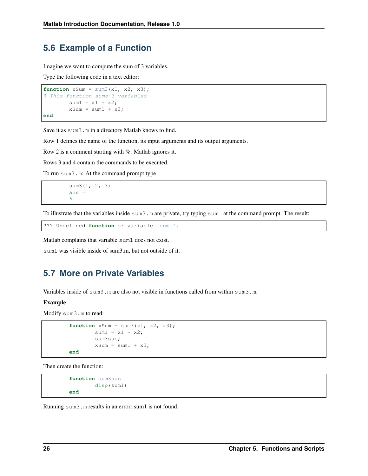### <span id="page-29-0"></span>**5.6 Example of a Function**

Imagine we want to compute the sum of 3 variables.

Type the following code in a text editor:

```
function xSum = sum3(x1, x2, x3);% This function sums 3 variables
       sum1 = x1 + x2;xSum = sum1 + x3;end
```
Save it as sum3.m in a directory Matlab knows to find.

Row 1 defines the name of the function, its input arguments and its output arguments.

Row 2 is a comment starting with %. Matlab ignores it.

Rows 3 and 4 contain the commands to be executed.

To run sum3.m: At the command prompt type

```
sum3(1, 2, 3)
ans =6
```
To illustrate that the variables inside sum3.m are private, try typing sum1 at the command prompt. The result:

```
??? Undefined function or variable 'sum1'.
```
Matlab complains that variable sum1 does not exist.

sum1 was visible inside of sum3.m, but not outside of it.

## <span id="page-29-1"></span>**5.7 More on Private Variables**

Variables inside of sum3.m are also not visible in functions called from within sum3.m.

#### Example

Modify sum3.m to read:

```
function xSum = sum3(x1, x2, x3);sum1 = x1 + x2;sum3sub;
       xSum = sum1 + x3;end
```
Then create the function:

```
function sum3sub
        disp(sum1)
end
```
Running sum3.m results in an error: sum1 is not found.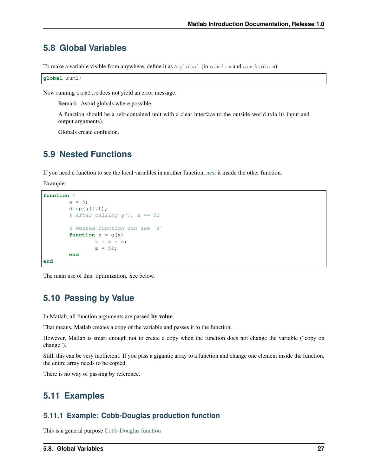### <span id="page-30-0"></span>**5.8 Global Variables**

To make a variable visible from anywhere, define it as a  $q$ lobal (in sum3.m and sum3sub.m):

**global** sum1;

Now running sum3.m does not yield an error message.

Remark: Avoid globals where possible.

A function should be a self-contained unit with a clear interface to the outside world (via its input and output arguments).

Globals create confusion.

## <span id="page-30-1"></span>**5.9 Nested Functions**

If you need a function to see the local variables in another function, [nest](http://www.mathworks.com/help/matlab/matlab_prog/nested-functions.html?s_tid=gn_loc_drop) it inside the other function.

Example:

```
function f
        a = 5;disp(g(17));\text{\&} After calling g(), a == 52
        % Nested function can see `a`
        function z = q(x)z = x + a;a = 52;end
end
```
The main use of this: optimization. See below.

### <span id="page-30-2"></span>**5.10 Passing by Value**

In Matlab, all function arguments are passed by value.

That means, Matlab creates a copy of the variable and passes it to the function.

However, Matlab is smart enough not to create a copy when the function does not change the variable ("copy on change").

Still, this can be very inefficient. If you pass a gigantic array to a function and change one element inside the function, the entire array needs to be copied.

There is no way of passing by reference.

### <span id="page-30-3"></span>**5.11 Examples**

#### **5.11.1 Example: Cobb-Douglas production function**

This is a general purpose [Cobb-Douglas function](https://github.com/hendri54/shared/blob/master/%2BeconLH/cobb_douglas.m)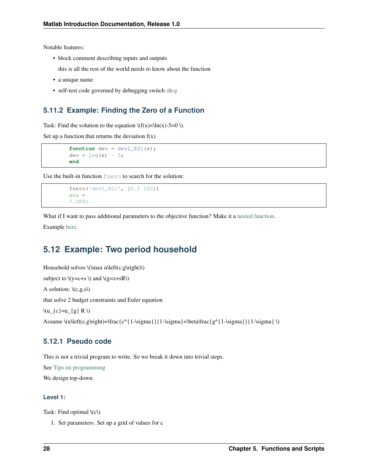Notable features:

• block comment describing inputs and outputs

this is all the rest of the world needs to know about the function

- a unique name
- self-test code governed by debugging switch dbg

### **5.11.2 Example: Finding the Zero of a Function**

Task: Find the solution to the equation  $\{(f(x)=\ln(x)-5=0)\}.$ 

Set up a function that returns the deviation  $f(x)$ 

```
function dev = dev1_821(x);
dev = log(x) - 5;end
```
Use the built-in function  $f \text{zero}$  to search for the solution:

```
fzero('dev1_821', [0.1 100])
ans =7.3891
```
What if I want to pass additional parameters to the objective function? Make it a [nested function.](http://www.mathworks.com/help/matlab/matlab_prog/nested-functions.html?s_tid=gn_loc_drop)

Example [here.](https://github.com/hendri54/Econ821/blob/master/matlab_examples/root_find_821.m)

### <span id="page-31-0"></span>**5.12 Example: Two period household**

Household solves  $\langle$  where  $\langle c, g \rangle$  and  $\langle c, g \rangle$ subject to  $\left(\sqrt{y=c+s}\right)$  and  $\left(\sqrt{g-z+sR}\right)$ A solution:  $\langle c,g,s \rangle$ that solve 2 budget constraints and Euler equation  $\{(u_{c})=u_{g}\} R \$ Assume  $\lvert \text{(u\leftarrow\c,g\right)}=\frac{c^{1}-\sigma}{1-\sigma}$  {1-\sigma} + \beta\frac{g^{1-\sigma} \} {1-\sigma} \)

### **5.12.1 Pseudo code**

This is not a trivial program to write. So we break it down into trivial steps.

See [Tips on programming](programming.html)

We design top-down.

#### **Level 1:**

Task: Find optimal  $\langle c \rangle$ .

1. Set parameters. Set up a grid of values for c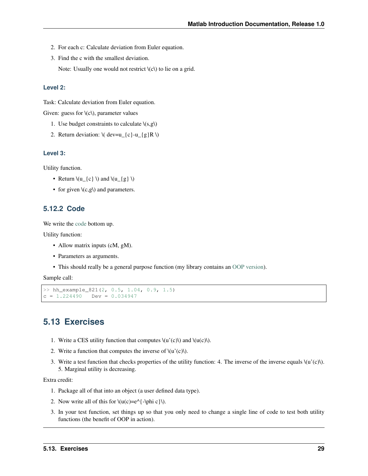- 2. For each c: Calculate deviation from Euler equation.
- 3. Find the c with the smallest deviation.

Note: Usually one would not restrict  $\langle c \rangle$  to lie on a grid.

#### **Level 2:**

Task: Calculate deviation from Euler equation.

Given: guess for  $\langle c \rangle$ , parameter values

- 1. Use budget constraints to calculate  $\setminus (s,g\)$
- 2. Return deviation:  $\langle$  dev=u\_{c}-u\_{g}R  $\langle$ )

#### **Level 3:**

Utility function.

- Return  $\left(u_{c}\) \right)$  and  $\left(u_{g}\right)$
- for given  $\setminus (c,g)$  and parameters.

### **5.12.2 Code**

We write the [code](https://github.com/hendri54/Econ821/blob/master/matlab_examples/hh_example_821.m) bottom up.

Utility function:

- Allow matrix inputs (cM, gM).
- Parameters as arguments.
- This should really be a general purpose function (my library contains an [OOP version\)](https://github.com/hendri54/shared/blob/master/UtilCrraLH.m).

Sample call:

```
>> hh_example_821(2, 0.5, 1.04, 0.9, 1.5)
c = 1.224490 Dev = 0.034947
```
### <span id="page-32-0"></span>**5.13 Exercises**

- 1. Write a CES utility function that computes  $\langle u'(c) \rangle$  and  $\langle u(c) \rangle$ .
- 2. Write a function that computes the inverse of  $\langle u'(c) \rangle$ .
- 3. Write a test function that checks properties of the utility function: 4. The inverse of the inverse equals  $\{(u'(c))\}$ . 5. Marginal utility is decreasing.

Extra credit:

- 1. Package all of that into an object (a user defined data type).
- 2. Now write all of this for  $\u(c)=e^{\{-\phi c\}}$ .
- 3. In your test function, set things up so that you only need to change a single line of code to test both utility functions (the benefit of OOP in action).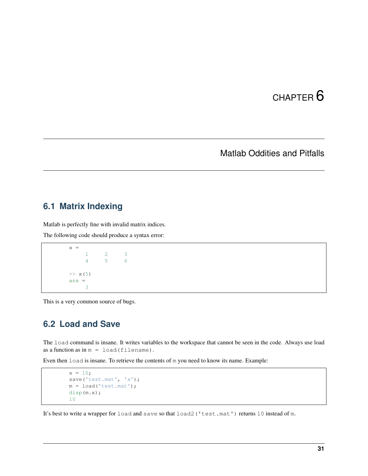# Matlab Oddities and Pitfalls

## <span id="page-34-1"></span><span id="page-34-0"></span>**6.1 Matrix Indexing**

Matlab is perfectly fine with invalid matrix indices.

```
The following code should produce a syntax error:
```

```
X =1 2 3
   4 5 6
>> x(5)ans =
   3
```
This is a very common source of bugs.

### <span id="page-34-2"></span>**6.2 Load and Save**

The load command is insane. It writes variables to the workspace that cannot be seen in the code. Always use load as a function as in  $m =$  load(filename).

Even then load is insane. To retrieve the contents of m you need to know its name. Example:

```
x = 10;save('test.mat', 'x');
m = load('test.mat');
disp(m.x);
10
```
It's best to write a wrapper for load and save so that load2('test.mat') returns 10 instead of m.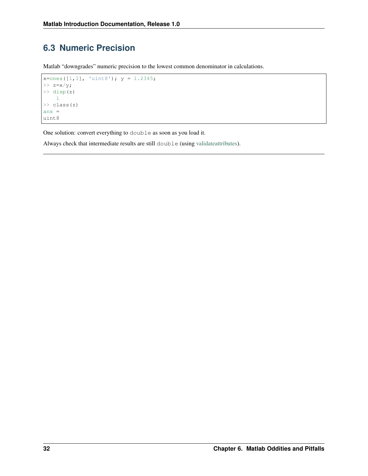# <span id="page-35-0"></span>**6.3 Numeric Precision**

Matlab "downgrades" numeric precision to the lowest common denominator in calculations.

```
x = ones([1, 1], 'uint8'); y = 1.2345;>> z=x/y;
>> disp(z)
    1
>> class(z)
ans =
uint8
```
One solution: convert everything to double as soon as you load it.

Always check that intermediate results are still double (using [validateattributes\)](http://www.mathworks.com/help/matlab/ref/validateattributes.html).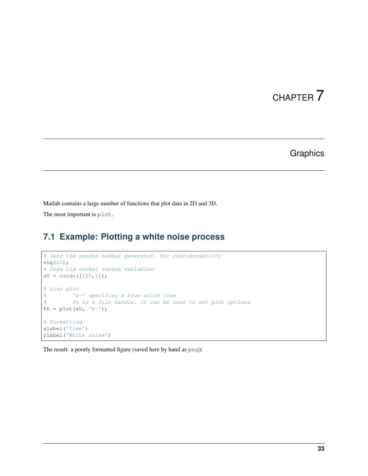# **Graphics**

<span id="page-36-0"></span>Matlab contains a large number of functions that plot data in 2D and 3D.

The most important is plot.

# <span id="page-36-1"></span>**7.1 Example: Plotting a white noise process**

```
% Seed the random number generator. For reproducability
rng(21);
% Draw iid normal random variables
xV = \text{randn}([100, 1]);% Line plot
% 'b-' specifies a blue solid line
% fh is a file handle. It can be used to set plot options
fh = plot(xV, 'b-');% Formatting
xlabel('Time')
ylabel('White noise')
```
The result: a poorly formatted figure (saved here by hand as png):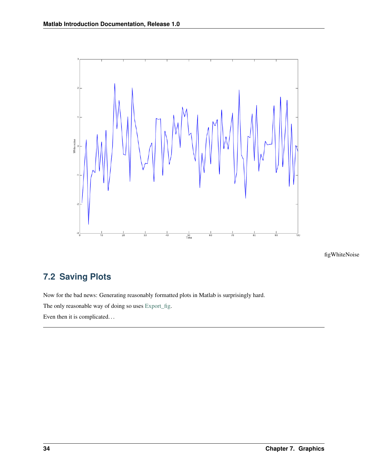

figWhiteNoise

# <span id="page-37-0"></span>**7.2 Saving Plots**

Now for the bad news: Generating reasonably formatted plots in Matlab is surprisingly hard.

The only reasonable way of doing so uses [Export\\_fig.](http://www.mathworks.com/matlabcentral/fileexchange/23629-export-fig)

Even then it is complicated. . .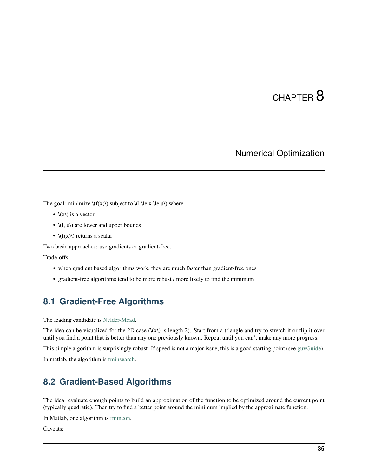## Numerical Optimization

<span id="page-38-0"></span>The goal: minimize  $\{(f(x))\}$  subject to  $\{(l \le x \le u)\}$  where

- $\langle x \rangle$  is a vector
- $\setminus (l, u\setminus)$  are lower and upper bounds
- $\langle f(x) \rangle$  returns a scalar

Two basic approaches: use gradients or gradient-free.

Trade-offs:

- when gradient based algorithms work, they are much faster than gradient-free ones
- gradient-free algorithms tend to be more robust / more likely to find the minimum

## <span id="page-38-1"></span>**8.1 Gradient-Free Algorithms**

The leading candidate is [Nelder-Mead.](https://en.wikipedia.org/wiki/Nelder%E2%80%93Mead_method)

The idea can be visualized for the 2D case  $(\langle x \rangle)$  is length 2). Start from a triangle and try to stretch it or flip it over until you find a point that is better than any one previously known. Repeat until you can't make any more progress.

This simple algorithm is surprisingly robust. If speed is not a major issue, this is a good starting point (see [guvGuide\)](https://www.richmondfed.org/%7E/media/richmondfedorg/publications/research/economic_quarterly/2011/q3/pdf/guvenen.pdf). In matlab, the algorithm is [fminsearch.](https://www.google.com/search?q=matlab%20fminsearch)

### <span id="page-38-2"></span>**8.2 Gradient-Based Algorithms**

The idea: evaluate enough points to build an approximation of the function to be optimized around the current point (typically quadratic). Then try to find a better point around the minimum implied by the approximate function.

In Matlab, one algorithm is [fmincon.](http://www.mathworks.com/help/optim/ug/fmincon.html)

Caveats: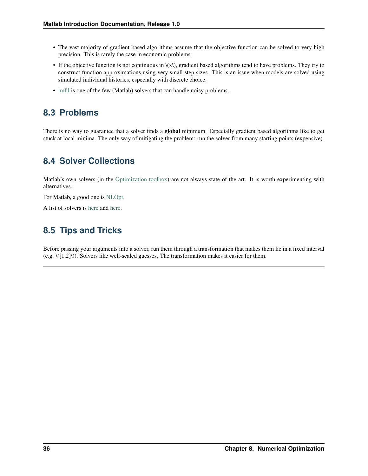- The vast majority of gradient based algorithms assume that the objective function can be solved to very high precision. This is rarely the case in economic problems.
- If the objective function is not continuous in \(x\), gradient based algorithms tend to have problems. They try to construct function approximations using very small step sizes. This is an issue when models are solved using simulated individual histories, especially with discrete choice.
- [imfil](http://www4.ncsu.edu/eos/users/c/ctkelley/www/matlab_darts.html) is one of the few (Matlab) solvers that can handle noisy problems.

# <span id="page-39-0"></span>**8.3 Problems**

There is no way to guarantee that a solver finds a global minimum. Especially gradient based algorithms like to get stuck at local minima. The only way of mitigating the problem: run the solver from many starting points (expensive).

# <span id="page-39-1"></span>**8.4 Solver Collections**

Matlab's own solvers (in the [Optimization toolbox\)](http://www.mathworks.com/help/optim/index.html) are not always state of the art. It is worth experimenting with alternatives.

For Matlab, a good one is [NLOpt.](http://ab-initio.mit.edu/wiki/index.php/NLopt)

A list of solvers is [here](http://users.isy.liu.se/johanl/yalmip/pmwiki.php?n=Solvers.Solvers) and [here.](http://solon.cma.univie.ac.at/%7Eneum/glopt/software_g.html)

# <span id="page-39-2"></span>**8.5 Tips and Tricks**

Before passing your arguments into a solver, run them through a transformation that makes them lie in a fixed interval (e.g. \([1,2]\)). Solvers like well-scaled guesses. The transformation makes it easier for them.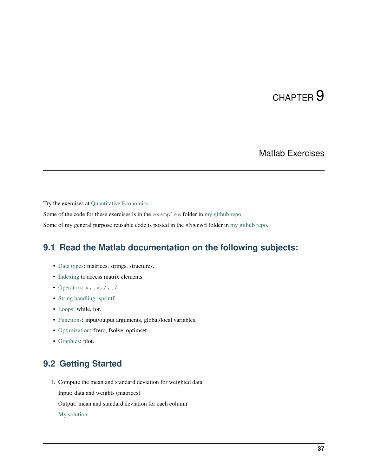# Matlab Exercises

<span id="page-40-0"></span>Try the exercises at [Quantitative Economics.](www.http://quant-econ.net)

Some of the code for these exercises is in the examples folder in [my github repo.](https://github.com/hendri54)

Some of my general purpose reusable code is posted in the shared folder in [my github repo.](https://github.com/hendri54)

### <span id="page-40-1"></span>**9.1 Read the Matlab documentation on the following subjects:**

- [Data types:](www.mathworks.com/help/matlab/data-types_data-types.html) matrices, strings, structures.
- [Indexing](www.mathworks.com/.../matrix-indexing-in-matlab.html) to access matrix elements.
- [Operators:](http://www.mathworks.com/help/matlab/operators-and-elementary-operations.html)  $\star$ , . $\star$ , /, ./
- [String handling:](http://www.mathworks.com/help/matlab/ref/strings.html) [sprintf](www.mathworks.com/help/matlab/ref/sprintf.html)
- [Loops:](http://www.mathworks.com/help/matlab/matlab_prog/loop-control-statements.html) while, for.
- [Functions:](http://www.mathworks.com/help/matlab/function-basics.html) input/output arguments, global/local variables.
- [Optimization:](#page-0-0) fzero, fsolve, optimset.
- [Graphics:](#page-0-0) plot.

## <span id="page-40-2"></span>**9.2 Getting Started**

1. Compute the mean and standard deviation for weighted data Input: data and weights (matrices)

Output: mean and standard deviation for each column

[My solution](https://github.com/hendri54/shared/blob/master/%2BstatsLH/std_w.m)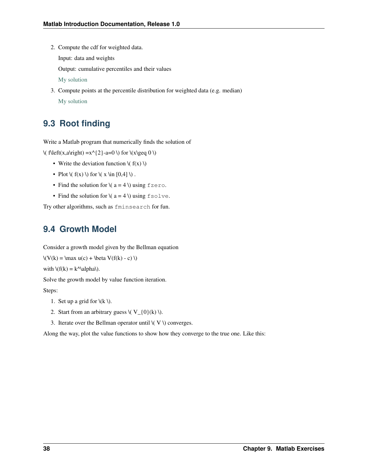2. Compute the cdf for weighted data.

Input: data and weights

Output: cumulative percentiles and their values

[My solution](https://github.com/hendri54/shared/blob/master/%2BdistribLH/cdf_weighted.m)

3. Compute points at the percentile distribution for weighted data (e.g. median)

[My solution](https://github.com/hendri54/shared/blob/master/%2BdistribLH/pcnt_weighted.m)

## <span id="page-41-0"></span>**9.3 Root finding**

Write a Matlab program that numerically finds the solution of

 $\left(\{\text{f\left(x,a\right)\mid x\in\{2\}-a=0\}\right)$  for  $\left(\text{x\mid a\right)\right)$ 

- Write the deviation function  $\setminus (f(x) \setminus)$
- Plot  $\setminus$   $f(x) \setminus$  for  $\setminus$   $x \in [0,4] \setminus$ .
- Find the solution for  $\lor$   $a = 4 \lor$  using fzero.
- Find the solution for  $\lor$   $a = 4 \lor$ ) using fsolve.

Try other algorithms, such as fminsearch for fun.

### <span id="page-41-1"></span>**9.4 Growth Model**

Consider a growth model given by the Bellman equation

 $\V{V(k) = \max u(c) + \beta V(f(k) - c)}$ 

with  $\(f(k) = k^{\alpha}).$ 

Solve the growth model by value function iteration.

Steps:

- 1. Set up a grid for  $\{(k)\}.$
- 2. Start from an arbitrary guess  $\vee$   $V_{0}(k) \vee$ .
- 3. Iterate over the Bellman operator until  $\vee$  V  $\vee$  converges.

Along the way, plot the value functions to show how they converge to the true one. Like this: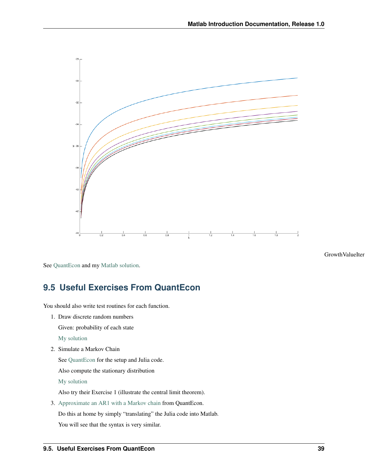

**GrowthValueIter** 

See [QuantEcon](http://quant-econ.net/jl/dp_intro.html) and my [Matlab solution.](https://github.com/hendri54/Econ821/blob/master/matlab_examples/growth_model_821.m)

## <span id="page-42-0"></span>**9.5 Useful Exercises From QuantEcon**

You should also write test routines for each function.

1. Draw discrete random numbers

Given: probability of each state

[My solution](https://github.com/hendri54/shared/blob/master/%2BrandomLH/rand_discrete.m)

2. Simulate a Markov Chain

See [QuantEcon](http://quant-econ.net/jl/finite_markov.html) for the setup and Julia code.

Also compute the stationary distribution

[My solution](https://github.com/hendri54/shared/blob/master/%2BmarkovLH/markov_sim.m)

Also try their Exercise 1 (illustrate the central limit theorem).

3. [Approximate an AR1 with a Markov chain](http://quant-econ.net/jl/finite_markov.html#exercise-3) from QuantEcon.

Do this at home by simply "translating" the Julia code into Matlab.

You will see that the syntax is very similar.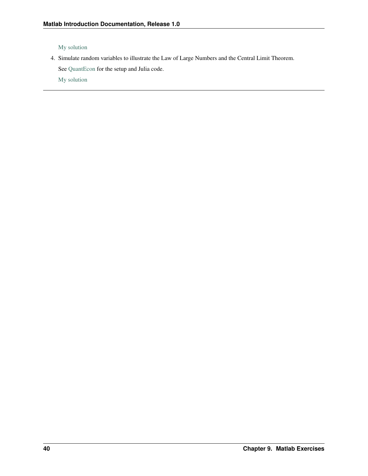[My solution](https://github.com/hendri54/shared/blob/master/%2Bar1LH/tauchen.m)

4. Simulate random variables to illustrate the Law of Large Numbers and the Central Limit Theorem.

See [QuantEcon](http://quant-econ.net/jl/lln_clt.html) for the setup and Julia code.

[My solution](https://github.com/hendri54/Econ821/blob/master/matlab_examples/clt_illustrate_821.m)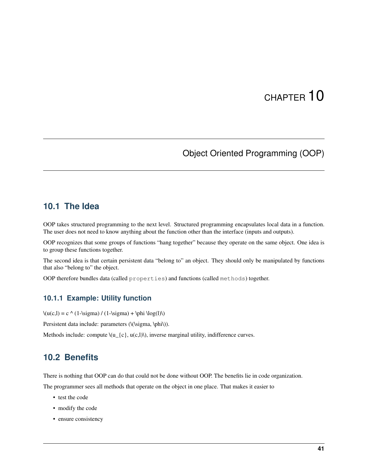# Object Oriented Programming (OOP)

### <span id="page-44-1"></span><span id="page-44-0"></span>**10.1 The Idea**

OOP takes structured programming to the next level. Structured programming encapsulates local data in a function. The user does not need to know anything about the function other than the interface (inputs and outputs).

OOP recognizes that some groups of functions "hang together" because they operate on the same object. One idea is to group these functions together.

The second idea is that certain persistent data "belong to" an object. They should only be manipulated by functions that also "belong to" the object.

OOP therefore bundles data (called properties) and functions (called methods) together.

### **10.1.1 Example: Utility function**

 $\{(u(c,l) = c \land (1-\sigma) / (1-\sigma) + \phi \log(l))\}$ 

Persistent data include: parameters (\(\sigma, \phi\)).

Methods include: compute  $\{(u_{\text{-}}\{c\}, u(c,l)\})$ , inverse marginal utility, indifference curves.

### <span id="page-44-2"></span>**10.2 Benefits**

There is nothing that OOP can do that could not be done without OOP. The benefits lie in code organization.

The programmer sees all methods that operate on the object in one place. That makes it easier to

- test the code
- modify the code
- ensure consistency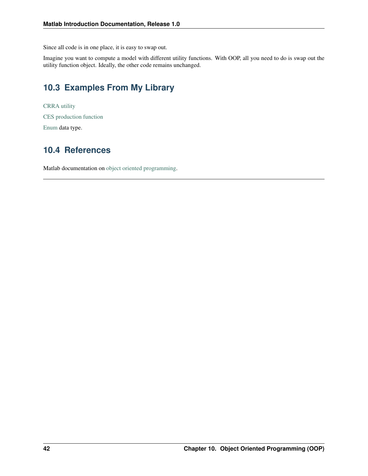Since all code is in one place, it is easy to swap out.

Imagine you want to compute a model with different utility functions. With OOP, all you need to do is swap out the utility function object. Ideally, the other code remains unchanged.

# <span id="page-45-0"></span>**10.3 Examples From My Library**

[CRRA utility](https://github.com/hendri54/shared/blob/master/UtilCrraLH.m) [CES production function](https://github.com/hendri54/shared/blob/master/ces_lh.m) [Enum](https://github.com/hendri54/shared/blob/master/EnumLH.m) data type.

# <span id="page-45-1"></span>**10.4 References**

Matlab documentation on [object oriented programming.](http://www.mathworks.com/help/matlab/object-oriented-programming.html)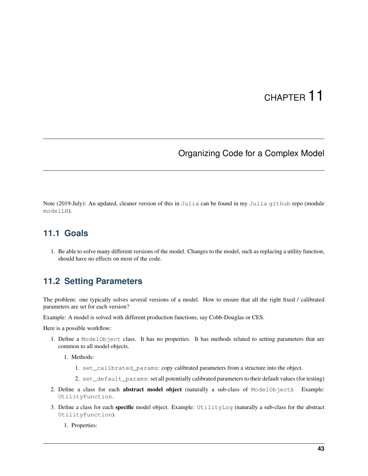### Organizing Code for a Complex Model

<span id="page-46-0"></span>Note (2019-July): An updated, cleaner version of this in Julia can be found in my Julia github repo (module modelLH).

### <span id="page-46-1"></span>**11.1 Goals**

1. Be able to solve many different versions of the model. Changes to the model, such as replacing a utility function, should have no effects on most of the code.

### <span id="page-46-2"></span>**11.2 Setting Parameters**

The problem: one typically solves several versions of a model. How to ensure that all the right fixed / calibrated parameters are set for each version?

Example: A model is solved with different production functions, say Cobb-Douglas or CES.

Here is a possible workflow:

- 1. Define a ModelObject class. It has no properties. It has methods related to setting parameters that are common to all model objects.
	- 1. Methods:
		- 1. set\_calibrated\_params: copy calibrated parameters from a structure into the object.
		- 2. set\_default\_params: set all potentially calibrated parameters to their default values (for testing)
- 2. Define a class for each abstract model object (naturally a sub-class of ModelObject). Example: UtilityFunction.
- 3. Define a class for each specific model object. Example: UtilityLog (naturally a sub-class for the abstract UtilityFunction).
	- 1. Properties: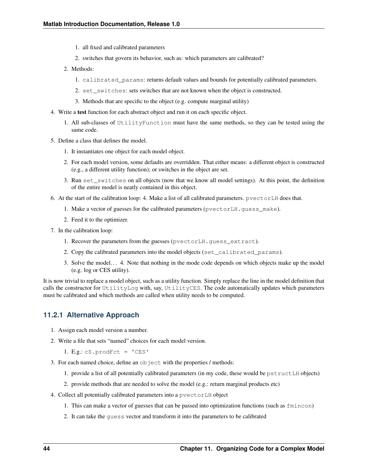- 1. all fixed and calibrated parameters
- 2. switches that govern its behavior, such as: which parameters are calibrated?
- 2. Methods:
	- 1. calibrated\_params: returns default values and bounds for potentially calibrated parameters.
	- 2. set switches: sets switches that are not known when the object is constructed.
	- 3. Methods that are specific to the object (e.g. compute marginal utility)
- 4. Write a test function for each abstract object and run it on each specific object.
	- 1. All sub-classes of UtilityFunction must have the same methods, so they can be tested using the same code.
- 5. Define a class that defines the model.
	- 1. It instantiates one object for each model object.
	- 2. For each model version, some defaults are overridden. That either means: a different object is constructed (e.g., a different utility function); or switches in the object are set.
	- 3. Run set\_switches on all objects (now that we know all model settings). At this point, the definition of the entire model is neatly contained in this object.
- 6. At the start of the calibration loop: 4. Make a list of all calibrated parameters. pvectorLH does that.
	- 1. Make a vector of guesses for the calibrated parameters (pvectorLH.quess make).
	- 2. Feed it to the optimizer.
- 7. In the calibration loop:
	- 1. Recover the parameters from the guesses (pvectorLH.guess\_extract).
	- 2. Copy the calibrated parameters into the model objects (set\_calibrated\_params).
	- 3. Solve the model. . . 4. Note that nothing in the mode code depends on which objects make up the model (e.g. log or CES utility).

It is now trivial to replace a model object, such as a utility function. Simply replace the line in the model definition that calls the constructor for UtilityLog with, say, UtilityCES. The code automatically updates which parameters must be calibrated and which methods are called when utility needs to be computed.

### **11.2.1 Alternative Approach**

- 1. Assign each model version a number.
- 2. Write a file that sets "named" choices for each model version.

```
1. E.g.: cS.prodFct = 'CES'
```
- 3. For each named choice, define an object with the properties / methods:
	- 1. provide a list of all potentially calibrated parameters (in my code, these would be pstructLH objects)
	- 2. provide methods that are needed to solve the model (e.g.: return marginal products etc)
- 4. Collect all potentially calibrated parameters into a pvectorLH object
	- 1. This can make a vector of guesses that can be passed into optimization functions (such as fmincon)
	- 2. It can take the guess vector and transform it into the parameters to be calibrated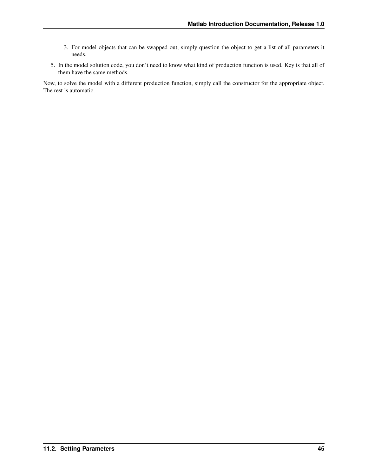- 3. For model objects that can be swapped out, simply question the object to get a list of all parameters it needs.
- 5. In the model solution code, you don't need to know what kind of production function is used. Key is that all of them have the same methods.

Now, to solve the model with a different production function, simply call the constructor for the appropriate object. The rest is automatic.